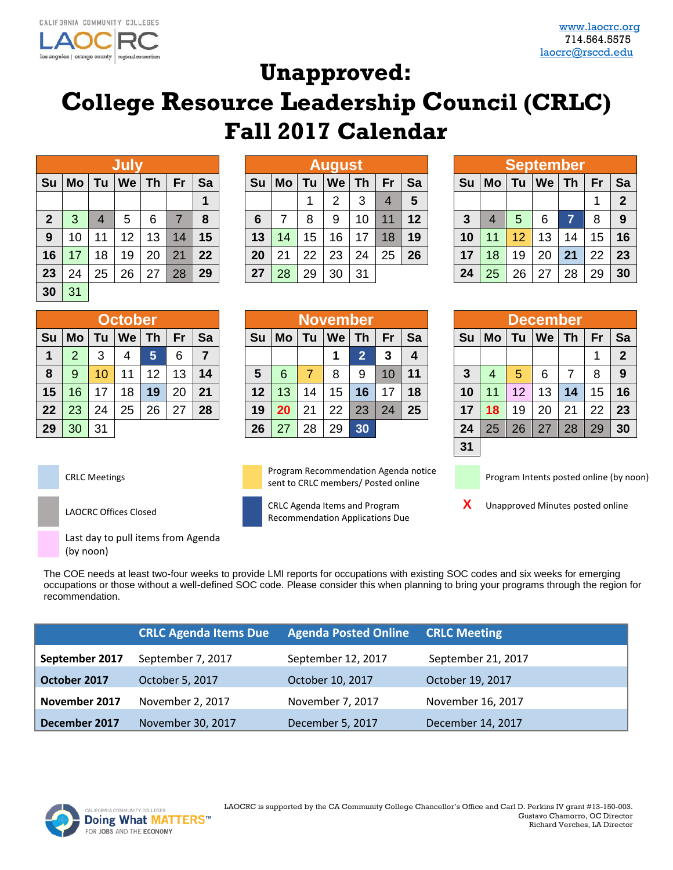

## **Unapproved:**

## **College Resource Leadership Council (CRLC) Fall 2017 Calendar**

|              |           |                | July |           |    |    |
|--------------|-----------|----------------|------|-----------|----|----|
| Su           | <b>Mo</b> | Tu             | We   | <b>Th</b> | Fr | Sa |
|              |           |                |      |           |    | 1  |
| $\mathbf{2}$ | 3         | $\overline{4}$ | 5    | 6         | 7  | 8  |
| 9            | 10        | 11             | 12   | 13        | 14 | 15 |
| 16           | 17        | 18             | 19   | 20        | 21 | 22 |
| 23           | 24        | 25             | 26   | 27        | 28 | 29 |
| 30           | 31        |                |      |           |    |    |

|              |           |    | Jul |    |    |    |    |    |    | <b>August</b> |    |    |    |    |    |    | <b>September</b> |    |    |                |
|--------------|-----------|----|-----|----|----|----|----|----|----|---------------|----|----|----|----|----|----|------------------|----|----|----------------|
| Su           | <b>Mo</b> | Τu | We  | Τh | Fr | Sa | Su | Mo | Τu | We            | Τh | Fr | Sa | Su | Mo | Tu | We               | Th | Fr | Sa             |
|              |           |    |     |    |    |    |    |    |    | ົ             | 3  | 4  | 5  |    |    |    |                  |    | и  | $\overline{2}$ |
| $\mathbf{2}$ | 3         | 4  | 5   | 6  |    | 8  | 6  | ⇁  | 8  | 9             | 10 | 11 | 12 | 3  |    | 5  | 6                |    | 8  | -9             |
| 9            | 10        | 11 | 12  | 13 | 14 | 15 | 13 | 14 | 15 | 16            | 17 | 18 | 19 | 10 | 11 | 12 | 13               | 14 | 15 | 16             |
| 16           | 17        | 18 | 19  | 20 | 21 | 22 | 20 | 21 | 22 | 23            | 24 | 25 | 26 | 17 | 18 | 19 | 20               | 21 | 22 | 23             |
| 23           | 24        | 25 | 26  | 27 | 28 | 29 | 27 | 28 | 29 | 30            | 31 |    |    | 24 | 25 | 26 | 27               | 28 | 29 | 30             |

|                |    |    | <b>September</b> |           |    |                |
|----------------|----|----|------------------|-----------|----|----------------|
| Su             | Mo | Tu | We               | <b>Th</b> | Fr | Sa             |
|                |    |    |                  |           |    | $\overline{2}$ |
| $\overline{3}$ | 4  | 5  | 6                | 7         | 8  | 9              |
| 10             | 11 | 12 | 13               | 14        | 15 | 16             |
| 17             | 18 | 19 | 20               | 21        | 22 | 23             |
| 24             | 25 | 26 | 27               | 28        | 29 | 30             |

|    |    |    | <b>October</b> |                 |    |    |    |    |    | November |    |                 |    |    |           |    | <b>December</b> |    |                  |     |
|----|----|----|----------------|-----------------|----|----|----|----|----|----------|----|-----------------|----|----|-----------|----|-----------------|----|------------------|-----|
| Su | Mo | Tu | We             | Th              | Fr | Sa | Sυ | Mo | Tu | We       | Th | Fr              | Sa | Su | <b>Mo</b> | Τu | <b>We</b>       | Th | Fr               | Sa  |
| 1  | っ  | 3  | 4              | 5               | 6  | 7  |    |    |    |          | 2  |                 | 4  |    |           |    |                 |    |                  |     |
| 8  | 9  | 10 | 11             | 12 <sup>°</sup> | 13 | 14 | 5  | 6  |    | 8        | 9  | 10 <sup>°</sup> | 11 |    | 4         | 5  | 6               |    | 8                | 9   |
| 15 | 16 | 17 | 18             | 19              | 20 | 21 | 12 | 13 | 14 | 15       | 16 |                 | 18 | 10 | 11        | 12 | 13              | 14 | 15 <sub>15</sub> | 16  |
| 22 | 23 | 24 | 25             | 26              | 27 | 28 | 19 | 20 | 21 | 22       | 23 | 24              | 25 | 17 | 18        | 19 | 20              | 21 | 22               | -23 |
| 29 | 30 | 31 |                |                 |    |    | 26 | 27 | 28 | 29       | 30 |                 |    | 24 | 25        | 26 | 27              | 28 | 29               | 30  |
|    |    |    |                |                 |    |    |    |    |    |          |    |                 |    | 31 |           |    |                 |    |                  |     |

Last day to pull items from Agenda (by noon)

| $\blacktriangleleft$ | ົ  |    |    |    |    |    |    |    |    |    | $\sim$ | ີ  |    |    |                 |    |    |    |    | $\mathbf{c}$ |
|----------------------|----|----|----|----|----|----|----|----|----|----|--------|----|----|----|-----------------|----|----|----|----|--------------|
| 8                    | 9  |    | 11 | 12 | 13 | 14 | 5  | 6  |    | 8  | 9      | 10 | 11 | 3  |                 | 5  | 6  |    | 8  | 9            |
| 15                   | 16 | 17 | 18 | 19 | 20 | 21 | 12 | 13 | 14 | 15 | 16     | 17 | 18 | 10 |                 | 12 | 13 | 14 | 15 | 16           |
| 22 <sub>2</sub>      | 23 | 24 | 25 | 26 | 27 | 28 | 19 | 20 | 21 | 22 | 23     | 24 | 25 | 17 | 18 <sup>°</sup> | 19 | 20 | 21 | 22 | 23           |
| 29                   | 30 | 31 |    |    |    |    | 26 | 27 | 28 | 29 | 30     |    |    | 24 | 25              | 26 | 27 | 28 | 29 | 30           |
|                      |    |    |    |    |    |    |    |    |    |    |        |    |    | 24 |                 |    |    |    |    |              |

**CRLC Meetings** Program Recommendation Agenda notice **Sent to CRLC members/ Posted online** Program Intents posted online (by noon) sent to CRLC members/ Posted online

LAOCRC Offices Closed CRLC Agenda Items and Program Recommendation Applications Due

**X** Unapproved Minutes posted online

The COE needs at least two-four weeks to provide LMI reports for occupations with existing SOC codes and six weeks for emerging occupations or those without a well-defined SOC code. Please consider this when planning to bring your programs through the region for recommendation.

|                | <b>CRLC Agenda Items Due</b> | <b>Agenda Posted Online</b> | <b>CRLC Meeting</b> |
|----------------|------------------------------|-----------------------------|---------------------|
| September 2017 | September 7, 2017            | September 12, 2017          | September 21, 2017  |
| October 2017   | October 5, 2017              | October 10, 2017            | October 19, 2017    |
| November 2017  | November 2, 2017             | November 7, 2017            | November 16, 2017   |
| December 2017  | November 30, 2017            | December 5, 2017            | December 14, 2017   |